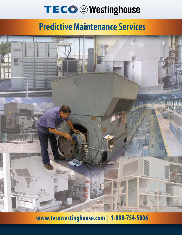# TECO @ Westinghouse

### **Predictive Maintenance Services**



**www.tecowestinghouse.com | 1-888-754-5006**